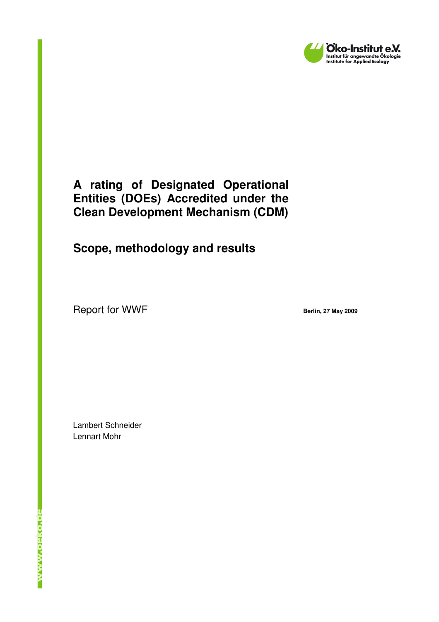

### **A rating of Designated Operational Entities (DOEs) Accredited under the Clean Development Mechanism (CDM)**

## **Scope, methodology and results**

Report for WWF **Berlin, 27 May 2009** 

Lambert Schneider Lennart Mohr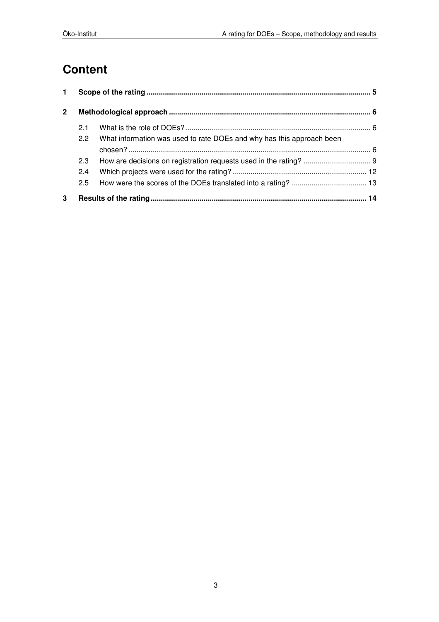# **Content**

| 1.           |               |                                                                       |  |  |
|--------------|---------------|-----------------------------------------------------------------------|--|--|
| $\mathbf{2}$ |               |                                                                       |  |  |
|              | 2.1           |                                                                       |  |  |
|              | $2.2^{\circ}$ | What information was used to rate DOEs and why has this approach been |  |  |
|              |               |                                                                       |  |  |
|              | 2.3           |                                                                       |  |  |
|              | 2.4           |                                                                       |  |  |
|              | 2.5           |                                                                       |  |  |
| 3            |               |                                                                       |  |  |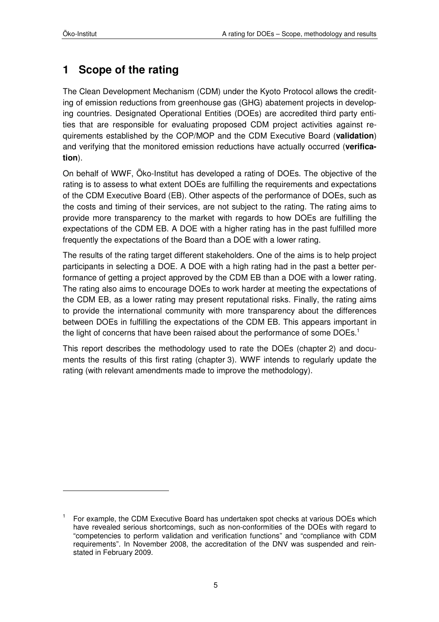## **1 Scope of the rating**

The Clean Development Mechanism (CDM) under the Kyoto Protocol allows the crediting of emission reductions from greenhouse gas (GHG) abatement projects in developing countries. Designated Operational Entities (DOEs) are accredited third party entities that are responsible for evaluating proposed CDM project activities against requirements established by the COP/MOP and the CDM Executive Board (**validation**) and verifying that the monitored emission reductions have actually occurred (**verification**).

On behalf of WWF, Öko-Institut has developed a rating of DOEs. The objective of the rating is to assess to what extent DOEs are fulfilling the requirements and expectations of the CDM Executive Board (EB). Other aspects of the performance of DOEs, such as the costs and timing of their services, are not subject to the rating. The rating aims to provide more transparency to the market with regards to how DOEs are fulfilling the expectations of the CDM EB. A DOE with a higher rating has in the past fulfilled more frequently the expectations of the Board than a DOE with a lower rating.

The results of the rating target different stakeholders. One of the aims is to help project participants in selecting a DOE. A DOE with a high rating had in the past a better performance of getting a project approved by the CDM EB than a DOE with a lower rating. The rating also aims to encourage DOEs to work harder at meeting the expectations of the CDM EB, as a lower rating may present reputational risks. Finally, the rating aims to provide the international community with more transparency about the differences between DOEs in fulfilling the expectations of the CDM EB. This appears important in the light of concerns that have been raised about the performance of some DOEs.<sup>1</sup>

This report describes the methodology used to rate the DOEs (chapter 2) and documents the results of this first rating (chapter 3). WWF intends to regularly update the rating (with relevant amendments made to improve the methodology).

<sup>1</sup> For example, the CDM Executive Board has undertaken spot checks at various DOEs which have revealed serious shortcomings, such as non-conformities of the DOEs with regard to "competencies to perform validation and verification functions" and "compliance with CDM requirements". In November 2008, the accreditation of the DNV was suspended and reinstated in February 2009.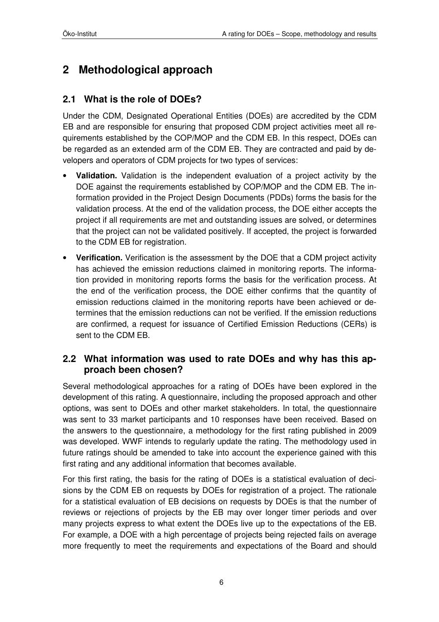## **2 Methodological approach**

### **2.1 What is the role of DOEs?**

Under the CDM, Designated Operational Entities (DOEs) are accredited by the CDM EB and are responsible for ensuring that proposed CDM project activities meet all requirements established by the COP/MOP and the CDM EB. In this respect, DOEs can be regarded as an extended arm of the CDM EB. They are contracted and paid by developers and operators of CDM projects for two types of services:

- **Validation.** Validation is the independent evaluation of a project activity by the DOE against the requirements established by COP/MOP and the CDM EB. The information provided in the Project Design Documents (PDDs) forms the basis for the validation process. At the end of the validation process, the DOE either accepts the project if all requirements are met and outstanding issues are solved, or determines that the project can not be validated positively. If accepted, the project is forwarded to the CDM EB for registration.
- **Verification.** Verification is the assessment by the DOE that a CDM project activity has achieved the emission reductions claimed in monitoring reports. The information provided in monitoring reports forms the basis for the verification process. At the end of the verification process, the DOE either confirms that the quantity of emission reductions claimed in the monitoring reports have been achieved or determines that the emission reductions can not be verified. If the emission reductions are confirmed, a request for issuance of Certified Emission Reductions (CERs) is sent to the CDM EB.

#### **2.2 What information was used to rate DOEs and why has this approach been chosen?**

Several methodological approaches for a rating of DOEs have been explored in the development of this rating. A questionnaire, including the proposed approach and other options, was sent to DOEs and other market stakeholders. In total, the questionnaire was sent to 33 market participants and 10 responses have been received. Based on the answers to the questionnaire, a methodology for the first rating published in 2009 was developed. WWF intends to regularly update the rating. The methodology used in future ratings should be amended to take into account the experience gained with this first rating and any additional information that becomes available.

For this first rating, the basis for the rating of DOEs is a statistical evaluation of decisions by the CDM EB on requests by DOEs for registration of a project. The rationale for a statistical evaluation of EB decisions on requests by DOEs is that the number of reviews or rejections of projects by the EB may over longer timer periods and over many projects express to what extent the DOEs live up to the expectations of the EB. For example, a DOE with a high percentage of projects being rejected fails on average more frequently to meet the requirements and expectations of the Board and should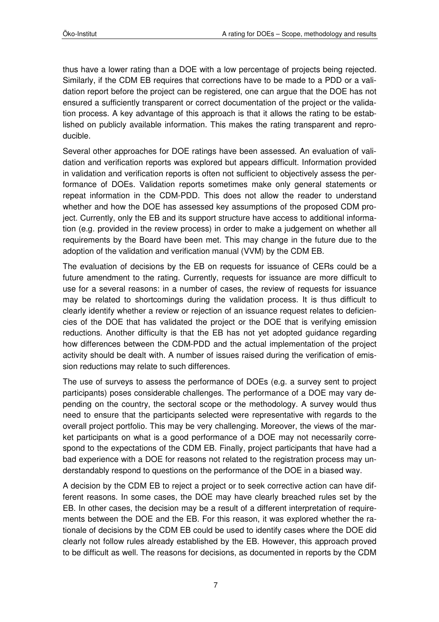thus have a lower rating than a DOE with a low percentage of projects being rejected. Similarly, if the CDM EB requires that corrections have to be made to a PDD or a validation report before the project can be registered, one can argue that the DOE has not ensured a sufficiently transparent or correct documentation of the project or the validation process. A key advantage of this approach is that it allows the rating to be established on publicly available information. This makes the rating transparent and reproducible.

Several other approaches for DOE ratings have been assessed. An evaluation of validation and verification reports was explored but appears difficult. Information provided in validation and verification reports is often not sufficient to objectively assess the performance of DOEs. Validation reports sometimes make only general statements or repeat information in the CDM-PDD. This does not allow the reader to understand whether and how the DOE has assessed key assumptions of the proposed CDM project. Currently, only the EB and its support structure have access to additional information (e.g. provided in the review process) in order to make a judgement on whether all requirements by the Board have been met. This may change in the future due to the adoption of the validation and verification manual (VVM) by the CDM EB.

The evaluation of decisions by the EB on requests for issuance of CERs could be a future amendment to the rating. Currently, requests for issuance are more difficult to use for a several reasons: in a number of cases, the review of requests for issuance may be related to shortcomings during the validation process. It is thus difficult to clearly identify whether a review or rejection of an issuance request relates to deficiencies of the DOE that has validated the project or the DOE that is verifying emission reductions. Another difficulty is that the EB has not yet adopted guidance regarding how differences between the CDM-PDD and the actual implementation of the project activity should be dealt with. A number of issues raised during the verification of emission reductions may relate to such differences.

The use of surveys to assess the performance of DOEs (e.g. a survey sent to project participants) poses considerable challenges. The performance of a DOE may vary depending on the country, the sectoral scope or the methodology. A survey would thus need to ensure that the participants selected were representative with regards to the overall project portfolio. This may be very challenging. Moreover, the views of the market participants on what is a good performance of a DOE may not necessarily correspond to the expectations of the CDM EB. Finally, project participants that have had a bad experience with a DOE for reasons not related to the registration process may understandably respond to questions on the performance of the DOE in a biased way.

A decision by the CDM EB to reject a project or to seek corrective action can have different reasons. In some cases, the DOE may have clearly breached rules set by the EB. In other cases, the decision may be a result of a different interpretation of requirements between the DOE and the EB. For this reason, it was explored whether the rationale of decisions by the CDM EB could be used to identify cases where the DOE did clearly not follow rules already established by the EB. However, this approach proved to be difficult as well. The reasons for decisions, as documented in reports by the CDM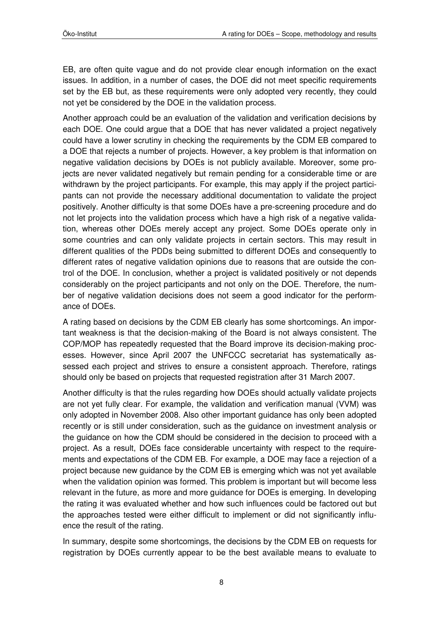EB, are often quite vague and do not provide clear enough information on the exact issues. In addition, in a number of cases, the DOE did not meet specific requirements set by the EB but, as these requirements were only adopted very recently, they could not yet be considered by the DOE in the validation process.

Another approach could be an evaluation of the validation and verification decisions by each DOE. One could argue that a DOE that has never validated a project negatively could have a lower scrutiny in checking the requirements by the CDM EB compared to a DOE that rejects a number of projects. However, a key problem is that information on negative validation decisions by DOEs is not publicly available. Moreover, some projects are never validated negatively but remain pending for a considerable time or are withdrawn by the project participants. For example, this may apply if the project participants can not provide the necessary additional documentation to validate the project positively. Another difficulty is that some DOEs have a pre-screening procedure and do not let projects into the validation process which have a high risk of a negative validation, whereas other DOEs merely accept any project. Some DOEs operate only in some countries and can only validate projects in certain sectors. This may result in different qualities of the PDDs being submitted to different DOEs and consequently to different rates of negative validation opinions due to reasons that are outside the control of the DOE. In conclusion, whether a project is validated positively or not depends considerably on the project participants and not only on the DOE. Therefore, the number of negative validation decisions does not seem a good indicator for the performance of DOEs.

A rating based on decisions by the CDM EB clearly has some shortcomings. An important weakness is that the decision-making of the Board is not always consistent. The COP/MOP has repeatedly requested that the Board improve its decision-making processes. However, since April 2007 the UNFCCC secretariat has systematically assessed each project and strives to ensure a consistent approach. Therefore, ratings should only be based on projects that requested registration after 31 March 2007.

Another difficulty is that the rules regarding how DOEs should actually validate projects are not yet fully clear. For example, the validation and verification manual (VVM) was only adopted in November 2008. Also other important guidance has only been adopted recently or is still under consideration, such as the guidance on investment analysis or the guidance on how the CDM should be considered in the decision to proceed with a project. As a result, DOEs face considerable uncertainty with respect to the requirements and expectations of the CDM EB. For example, a DOE may face a rejection of a project because new guidance by the CDM EB is emerging which was not yet available when the validation opinion was formed. This problem is important but will become less relevant in the future, as more and more guidance for DOEs is emerging. In developing the rating it was evaluated whether and how such influences could be factored out but the approaches tested were either difficult to implement or did not significantly influence the result of the rating.

In summary, despite some shortcomings, the decisions by the CDM EB on requests for registration by DOEs currently appear to be the best available means to evaluate to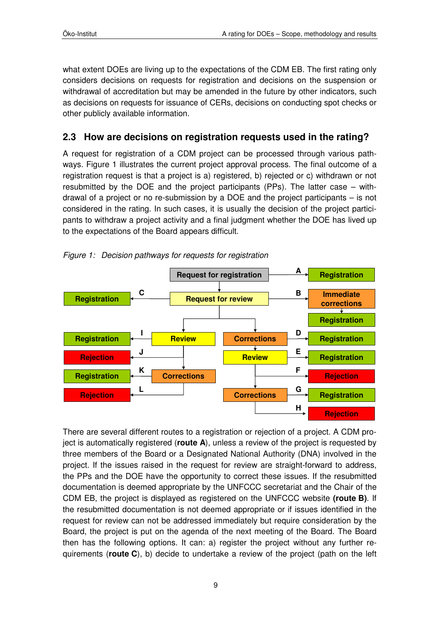what extent DOEs are living up to the expectations of the CDM EB. The first rating only considers decisions on requests for registration and decisions on the suspension or withdrawal of accreditation but may be amended in the future by other indicators, such as decisions on requests for issuance of CERs, decisions on conducting spot checks or other publicly available information.

### **2.3 How are decisions on registration requests used in the rating?**

A request for registration of a CDM project can be processed through various pathways. Figure 1 illustrates the current project approval process. The final outcome of a registration request is that a project is a) registered, b) rejected or c) withdrawn or not resubmitted by the DOE and the project participants (PPs). The latter case – withdrawal of a project or no re-submission by a DOE and the project participants – is not considered in the rating. In such cases, it is usually the decision of the project participants to withdraw a project activity and a final judgment whether the DOE has lived up to the expectations of the Board appears difficult.



Figure 1: Decision pathways for requests for registration

There are several different routes to a registration or rejection of a project. A CDM project is automatically registered (**route A**), unless a review of the project is requested by three members of the Board or a Designated National Authority (DNA) involved in the project. If the issues raised in the request for review are straight-forward to address, the PPs and the DOE have the opportunity to correct these issues. If the resubmitted documentation is deemed appropriate by the UNFCCC secretariat and the Chair of the CDM EB, the project is displayed as registered on the UNFCCC website **(route B)**. If the resubmitted documentation is not deemed appropriate or if issues identified in the request for review can not be addressed immediately but require consideration by the Board, the project is put on the agenda of the next meeting of the Board. The Board then has the following options. It can: a) register the project without any further requirements (**route C**), b) decide to undertake a review of the project (path on the left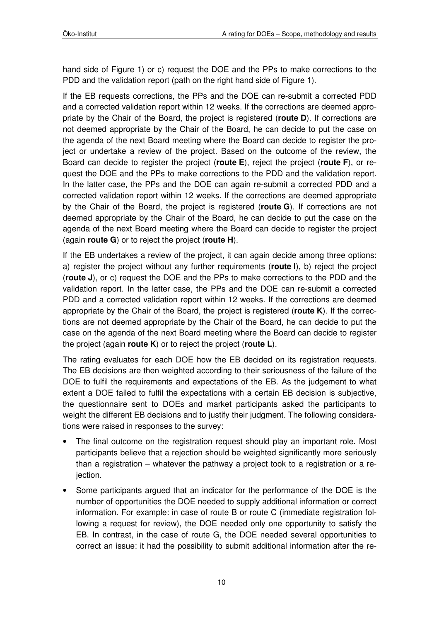hand side of Figure 1) or c) request the DOE and the PPs to make corrections to the PDD and the validation report (path on the right hand side of Figure 1).

If the EB requests corrections, the PPs and the DOE can re-submit a corrected PDD and a corrected validation report within 12 weeks. If the corrections are deemed appropriate by the Chair of the Board, the project is registered (**route D**). If corrections are not deemed appropriate by the Chair of the Board, he can decide to put the case on the agenda of the next Board meeting where the Board can decide to register the project or undertake a review of the project. Based on the outcome of the review, the Board can decide to register the project (**route E**), reject the project (**route F**), or request the DOE and the PPs to make corrections to the PDD and the validation report. In the latter case, the PPs and the DOE can again re-submit a corrected PDD and a corrected validation report within 12 weeks. If the corrections are deemed appropriate by the Chair of the Board, the project is registered (**route G**). If corrections are not deemed appropriate by the Chair of the Board, he can decide to put the case on the agenda of the next Board meeting where the Board can decide to register the project (again **route G**) or to reject the project (**route H**).

If the EB undertakes a review of the project, it can again decide among three options: a) register the project without any further requirements (**route I**), b) reject the project (**route J**), or c) request the DOE and the PPs to make corrections to the PDD and the validation report. In the latter case, the PPs and the DOE can re-submit a corrected PDD and a corrected validation report within 12 weeks. If the corrections are deemed appropriate by the Chair of the Board, the project is registered (**route K**). If the corrections are not deemed appropriate by the Chair of the Board, he can decide to put the case on the agenda of the next Board meeting where the Board can decide to register the project (again **route K**) or to reject the project (**route L**).

The rating evaluates for each DOE how the EB decided on its registration requests. The EB decisions are then weighted according to their seriousness of the failure of the DOE to fulfil the requirements and expectations of the EB. As the judgement to what extent a DOE failed to fulfil the expectations with a certain EB decision is subjective, the questionnaire sent to DOEs and market participants asked the participants to weight the different EB decisions and to justify their judgment. The following considerations were raised in responses to the survey:

- The final outcome on the registration request should play an important role. Most participants believe that a rejection should be weighted significantly more seriously than a registration – whatever the pathway a project took to a registration or a reiection.
- Some participants argued that an indicator for the performance of the DOE is the number of opportunities the DOE needed to supply additional information or correct information. For example: in case of route B or route C (immediate registration following a request for review), the DOE needed only one opportunity to satisfy the EB. In contrast, in the case of route G, the DOE needed several opportunities to correct an issue: it had the possibility to submit additional information after the re-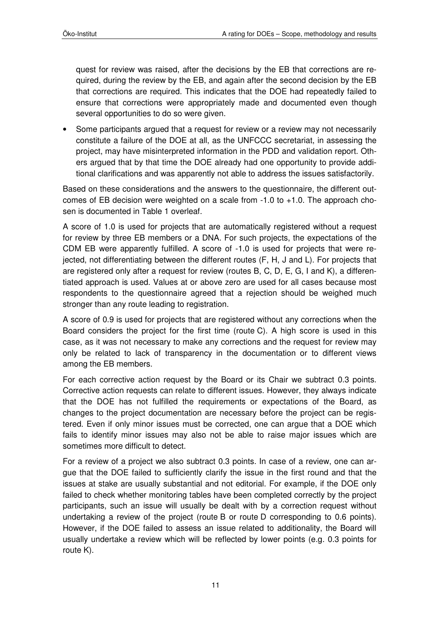quest for review was raised, after the decisions by the EB that corrections are required, during the review by the EB, and again after the second decision by the EB that corrections are required. This indicates that the DOE had repeatedly failed to ensure that corrections were appropriately made and documented even though several opportunities to do so were given.

• Some participants argued that a request for review or a review may not necessarily constitute a failure of the DOE at all, as the UNFCCC secretariat, in assessing the project, may have misinterpreted information in the PDD and validation report. Others argued that by that time the DOE already had one opportunity to provide additional clarifications and was apparently not able to address the issues satisfactorily.

Based on these considerations and the answers to the questionnaire, the different outcomes of EB decision were weighted on a scale from -1.0 to +1.0. The approach chosen is documented in Table 1 overleaf.

A score of 1.0 is used for projects that are automatically registered without a request for review by three EB members or a DNA. For such projects, the expectations of the CDM EB were apparently fulfilled. A score of -1.0 is used for projects that were rejected, not differentiating between the different routes (F, H, J and L). For projects that are registered only after a request for review (routes B, C, D, E, G, I and K), a differentiated approach is used. Values at or above zero are used for all cases because most respondents to the questionnaire agreed that a rejection should be weighed much stronger than any route leading to registration.

A score of 0.9 is used for projects that are registered without any corrections when the Board considers the project for the first time (route C). A high score is used in this case, as it was not necessary to make any corrections and the request for review may only be related to lack of transparency in the documentation or to different views among the EB members.

For each corrective action request by the Board or its Chair we subtract 0.3 points. Corrective action requests can relate to different issues. However, they always indicate that the DOE has not fulfilled the requirements or expectations of the Board, as changes to the project documentation are necessary before the project can be registered. Even if only minor issues must be corrected, one can argue that a DOE which fails to identify minor issues may also not be able to raise major issues which are sometimes more difficult to detect.

For a review of a project we also subtract 0.3 points. In case of a review, one can argue that the DOE failed to sufficiently clarify the issue in the first round and that the issues at stake are usually substantial and not editorial. For example, if the DOE only failed to check whether monitoring tables have been completed correctly by the project participants, such an issue will usually be dealt with by a correction request without undertaking a review of the project (route B or route D corresponding to 0.6 points). However, if the DOE failed to assess an issue related to additionality, the Board will usually undertake a review which will be reflected by lower points (e.g. 0.3 points for route K).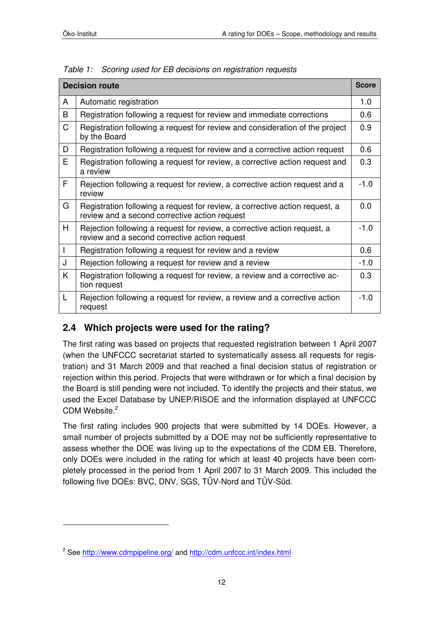$\overline{a}$ 

| <b>Decision route</b> |                                                                                                                              |        |
|-----------------------|------------------------------------------------------------------------------------------------------------------------------|--------|
| A                     | Automatic registration                                                                                                       | 1.0    |
| B                     | Registration following a request for review and immediate corrections                                                        | 0.6    |
| C                     | Registration following a request for review and consideration of the project<br>by the Board                                 | 0.9    |
| D                     | Registration following a request for review and a corrective action request                                                  | 0.6    |
| E.                    | Registration following a request for review, a corrective action request and<br>a review                                     | 0.3    |
| F                     | Rejection following a request for review, a corrective action request and a<br>review                                        | $-1.0$ |
| G                     | Registration following a request for review, a corrective action request, a<br>review and a second corrective action request | 0.0    |
| H                     | Rejection following a request for review, a corrective action request, a<br>review and a second corrective action request    | $-1.0$ |
| $\mathsf{I}$          | Registration following a request for review and a review                                                                     | 0.6    |
| J                     | Rejection following a request for review and a review                                                                        | $-1.0$ |
| K                     | Registration following a request for review, a review and a corrective ac-<br>tion request                                   | 0.3    |
| L                     | Rejection following a request for review, a review and a corrective action<br>request                                        | $-1.0$ |

Table 1: Scoring used for EB decisions on registration requests

### **2.4 Which projects were used for the rating?**

The first rating was based on projects that requested registration between 1 April 2007 (when the UNFCCC secretariat started to systematically assess all requests for registration) and 31 March 2009 and that reached a final decision status of registration or rejection within this period. Projects that were withdrawn or for which a final decision by the Board is still pending were not included. To identify the projects and their status, we used the Excel Database by UNEP/RISOE and the information displayed at UNFCCC CDM Website.<sup>2</sup>

The first rating includes 900 projects that were submitted by 14 DOEs. However, a small number of projects submitted by a DOE may not be sufficiently representative to assess whether the DOE was living up to the expectations of the CDM EB. Therefore, only DOEs were included in the rating for which at least 40 projects have been completely processed in the period from 1 April 2007 to 31 March 2009. This included the following five DOEs: BVC, DNV, SGS, TÜV-Nord and TÜV-Süd.

<sup>&</sup>lt;sup>2</sup> See http://www.cdmpipeline.org/ and http://cdm.unfccc.int/index.html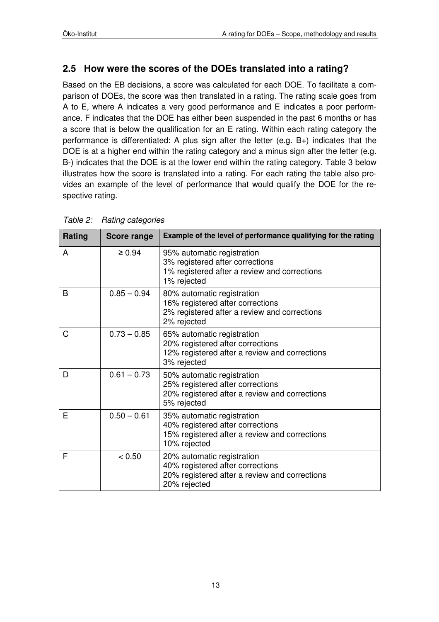### **2.5 How were the scores of the DOEs translated into a rating?**

Based on the EB decisions, a score was calculated for each DOE. To facilitate a comparison of DOEs, the score was then translated in a rating. The rating scale goes from A to E, where A indicates a very good performance and E indicates a poor performance. F indicates that the DOE has either been suspended in the past 6 months or has a score that is below the qualification for an E rating. Within each rating category the performance is differentiated: A plus sign after the letter (e.g. B+) indicates that the DOE is at a higher end within the rating category and a minus sign after the letter (e.g. B-) indicates that the DOE is at the lower end within the rating category. Table 3 below illustrates how the score is translated into a rating. For each rating the table also provides an example of the level of performance that would qualify the DOE for the respective rating.

| Rating | <b>Score range</b> | Example of the level of performance qualifying for the rating                                                                   |
|--------|--------------------|---------------------------------------------------------------------------------------------------------------------------------|
| A      | $\geq 0.94$        | 95% automatic registration<br>3% registered after corrections<br>1% registered after a review and corrections<br>1% rejected    |
| B      | $0.85 - 0.94$      | 80% automatic registration<br>16% registered after corrections<br>2% registered after a review and corrections<br>2% rejected   |
| C      | $0.73 - 0.85$      | 65% automatic registration<br>20% registered after corrections<br>12% registered after a review and corrections<br>3% rejected  |
| D      | $0.61 - 0.73$      | 50% automatic registration<br>25% registered after corrections<br>20% registered after a review and corrections<br>5% rejected  |
| E      | $0.50 - 0.61$      | 35% automatic registration<br>40% registered after corrections<br>15% registered after a review and corrections<br>10% rejected |
| F      | < 0.50             | 20% automatic registration<br>40% registered after corrections<br>20% registered after a review and corrections<br>20% rejected |

Table 2: Rating categories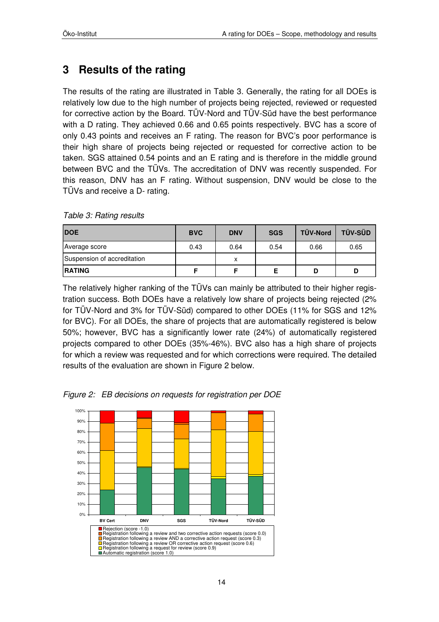## **3 Results of the rating**

The results of the rating are illustrated in Table 3. Generally, the rating for all DOEs is relatively low due to the high number of projects being rejected, reviewed or requested for corrective action by the Board. TÜV-Nord and TÜV-Süd have the best performance with a D rating. They achieved 0.66 and 0.65 points respectively. BVC has a score of only 0.43 points and receives an F rating. The reason for BVC's poor performance is their high share of projects being rejected or requested for corrective action to be taken. SGS attained 0.54 points and an E rating and is therefore in the middle ground between BVC and the TÜVs. The accreditation of DNV was recently suspended. For this reason, DNV has an F rating. Without suspension, DNV would be close to the TÜVs and receive a D- rating.

| <b>IDOE</b>                 | <b>BVC</b> | <b>DNV</b> | <b>SGS</b> | TÜV-Nord | <b>TÜV-SÜD</b> |
|-----------------------------|------------|------------|------------|----------|----------------|
| Average score               | 0.43       | 0.64       | 0.54       | 0.66     | 0.65           |
| Suspension of accreditation |            | x          |            |          |                |
| <b>IRATING</b>              |            |            |            |          |                |

Table 3: Rating results

The relatively higher ranking of the TÜVs can mainly be attributed to their higher registration success. Both DOEs have a relatively low share of projects being rejected (2% for TÜV-Nord and 3% for TÜV-Süd) compared to other DOEs (11% for SGS and 12% for BVC). For all DOEs, the share of projects that are automatically registered is below 50%; however, BVC has a significantly lower rate (24%) of automatically registered projects compared to other DOEs (35%-46%). BVC also has a high share of projects for which a review was requested and for which corrections were required. The detailed results of the evaluation are shown in Figure 2 below.